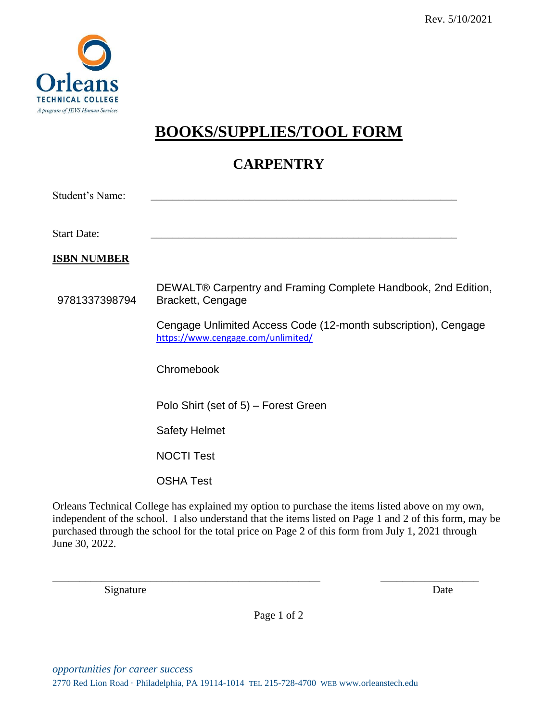

## **BOOKS/SUPPLIES/TOOL FORM**

## **CARPENTRY**

| <b>Student's Name:</b> |                                                                                                      |
|------------------------|------------------------------------------------------------------------------------------------------|
| <b>Start Date:</b>     |                                                                                                      |
| <u>ISBN NUMBER</u>     |                                                                                                      |
| 9781337398794          | DEWALT® Carpentry and Framing Complete Handbook, 2nd Edition,<br>Brackett, Cengage                   |
|                        | Cengage Unlimited Access Code (12-month subscription), Cengage<br>https://www.cengage.com/unlimited/ |
|                        | Chromebook                                                                                           |
|                        | Polo Shirt (set of 5) – Forest Green                                                                 |
|                        | <b>Safety Helmet</b>                                                                                 |
|                        | <b>NOCTI Test</b>                                                                                    |
|                        | <b>OSHA Test</b>                                                                                     |
|                        |                                                                                                      |

Orleans Technical College has explained my option to purchase the items listed above on my own, independent of the school. I also understand that the items listed on Page 1 and 2 of this form, may be purchased through the school for the total price on Page 2 of this form from July 1, 2021 through June 30, 2022.

Signature Date

\_\_\_\_\_\_\_\_\_\_\_\_\_\_\_\_\_\_\_\_\_\_\_\_\_\_\_\_\_\_\_\_\_\_\_\_\_\_\_\_\_\_\_\_\_\_\_\_\_ \_\_\_\_\_\_\_\_\_\_\_\_\_\_\_\_\_\_

Page 1 of 2